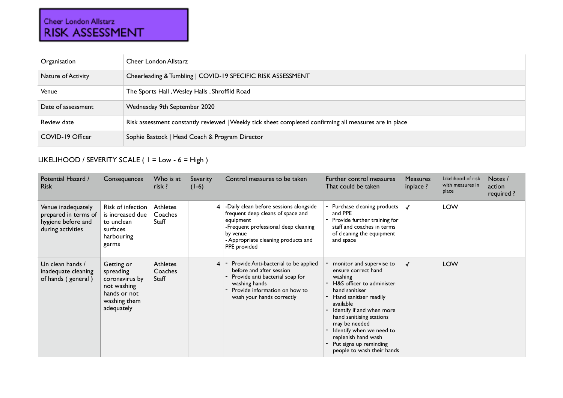## Cheer London Allstarz<br>RISK ASSESSMENT

| Organisation       | Cheer London Allstarz                                                                                  |
|--------------------|--------------------------------------------------------------------------------------------------------|
| Nature of Activity | Cheerleading & Tumbling   COVID-19 SPECIFIC RISK ASSESSMENT                                            |
| Venue              | The Sports Hall, Wesley Halls, Shroffild Road                                                          |
| Date of assessment | Wednesday 9th September 2020                                                                           |
| Review date        | Risk assessment constantly reviewed   Weekly tick sheet completed confirming all measures are in place |
| COVID-19 Officer   | Sophie Bastock   Head Coach & Program Director                                                         |

## LIKELIHOOD / SEVERITY SCALE ( 1 = Low - 6 = High )

| Potential Hazard /<br><b>Risk</b>                                                     | Consequences                                                                                           | Who is at<br>risk ?                 | Severity<br>$(1-6)$ | Control measures to be taken                                                                                                                                                                        | Further control measures<br>That could be taken                                                                                                                                                                                                                                                                                         | <b>Measures</b><br>inplace ? | Likelihood of risk<br>with measures in<br>place | Notes /<br>action<br>required ? |
|---------------------------------------------------------------------------------------|--------------------------------------------------------------------------------------------------------|-------------------------------------|---------------------|-----------------------------------------------------------------------------------------------------------------------------------------------------------------------------------------------------|-----------------------------------------------------------------------------------------------------------------------------------------------------------------------------------------------------------------------------------------------------------------------------------------------------------------------------------------|------------------------------|-------------------------------------------------|---------------------------------|
| Venue inadequately<br>prepared in terms of<br>hygiene before and<br>during activities | <b>Risk of infection</b><br>is increased due<br>to unclean<br>surfaces<br>harbouring<br>germs          | <b>Athletes</b><br>Coaches<br>Staff | $\overline{4}$      | -Daily clean before sessions alongside<br>frequent deep cleans of space and<br>equipment<br>-Frequent professional deep cleaning<br>by venue<br>- Appropriate cleaning products and<br>PPE provided | - Purchase cleaning products<br>and PPE<br>- Provide further training for<br>staff and coaches in terms<br>of cleaning the equipment<br>and space                                                                                                                                                                                       |                              | <b>LOW</b>                                      |                                 |
| Un clean hands /<br>inadequate cleaning<br>of hands (general)                         | Getting or<br>spreading<br>coronavirus by<br>not washing<br>hands or not<br>washing them<br>adequately | <b>Athletes</b><br>Coaches<br>Staff | 4                   | Provide Anti-bacterial to be applied<br>before and after session<br>Provide anti bacterial soap for<br>washing hands<br>Provide information on how to<br>wash your hands correctly                  | monitor and supervise to<br>ensure correct hand<br>washing<br>- H&S officer to administer<br>hand sanitiser<br>Hand sanitiser readily<br>available<br>Identify if and when more<br>hand sanitising stations<br>may be needed<br>Identify when we need to<br>replenish hand wash<br>Put signs up reminding<br>people to wash their hands |                              | <b>LOW</b>                                      |                                 |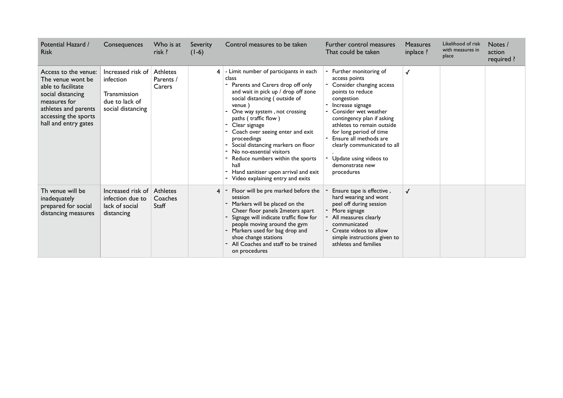| Potential Hazard /<br><b>Risk</b>                                                                                                                                            | Consequences                                                                                 | Who is at<br>risk ?             | <b>Severity</b><br>$(1-6)$ | Control measures to be taken                                                                                                                                                                                                                                                                                                                                                                                                                                                                    | Further control measures<br>That could be taken                                                                                                                                                                                                                                                                                                                       | <b>Measures</b><br>inplace ? | Likelihood of risk<br>with measures in<br>place | Notes /<br>action<br>required ? |
|------------------------------------------------------------------------------------------------------------------------------------------------------------------------------|----------------------------------------------------------------------------------------------|---------------------------------|----------------------------|-------------------------------------------------------------------------------------------------------------------------------------------------------------------------------------------------------------------------------------------------------------------------------------------------------------------------------------------------------------------------------------------------------------------------------------------------------------------------------------------------|-----------------------------------------------------------------------------------------------------------------------------------------------------------------------------------------------------------------------------------------------------------------------------------------------------------------------------------------------------------------------|------------------------------|-------------------------------------------------|---------------------------------|
| Access to the venue:<br>The venue wont be<br>able to facilitate<br>social distancing<br>measures for<br>athletes and parents<br>accessing the sports<br>hall and entry gates | Increased risk of<br>infection<br><b>Transmission</b><br>due to lack of<br>social distancing | Athletes<br>Parents /<br>Carers | 4                          | - Limit number of participants in each<br>class<br>Parents and Carers drop off only<br>and wait in pick up / drop off zone<br>social distancing (outside of<br>venue)<br>One way system, not crossing<br>paths (traffic flow)<br>Clear signage<br>Coach over seeing enter and exit<br>proceedings<br>- Social distancing markers on floor<br>No no-essential visitors<br>Reduce numbers within the sports<br>hall<br>- Hand sanitiser upon arrival and exit<br>Video explaining entry and exits | - Further monitoring of<br>access points<br>- Consider changing access<br>points to reduce<br>congestion<br>Increase signage<br>- Consider wet weather<br>contingency plan if asking<br>athletes to remain outside<br>for long period of time<br>- Ensure all methods are<br>clearly communicated to all<br>- Update using videos to<br>demonstrate new<br>procedures | √                            |                                                 |                                 |
| Th venue will be<br>inadequately<br>prepared for social<br>distancing measures                                                                                               | Increased risk of<br>infection due to<br>lack of social<br>distancing                        | Athletes<br>Coaches<br>Staff    |                            | Floor will be pre marked before the<br>session<br>- Markers will be placed on the<br>Cheer floor panels 2meters apart<br>Signage will indicate traffic flow for<br>people moving around the gym<br>- Markers used for bag drop and<br>shoe change stations<br>All Coaches and staff to be trained<br>on procedures                                                                                                                                                                              | Ensure tape is effective,<br>hard wearing and wont<br>peel off during session<br>- More signage<br>- All measures clearly<br>communicated<br>- Create videos to allow<br>simple instructions given to<br>athletes and families                                                                                                                                        | $\checkmark$                 |                                                 |                                 |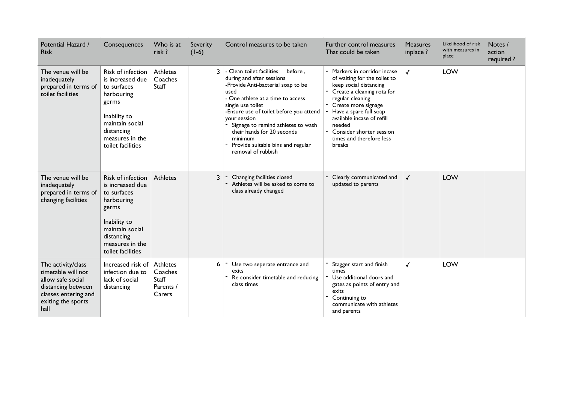| Potential Hazard /<br><b>Risk</b>                                                                                                         | Consequences                                                                                                                                                                | Who is at<br>risk ?                                 | Severity<br>$(1-6)$ | Control measures to be taken                                                                                                                                                                                                                                                                                                                                                   | Further control measures<br>That could be taken                                                                                                                                                                                                                                                       | <b>Measures</b><br>inplace ? | Likelihood of risk<br>with measures in<br>place | Notes /<br>action<br>required ? |
|-------------------------------------------------------------------------------------------------------------------------------------------|-----------------------------------------------------------------------------------------------------------------------------------------------------------------------------|-----------------------------------------------------|---------------------|--------------------------------------------------------------------------------------------------------------------------------------------------------------------------------------------------------------------------------------------------------------------------------------------------------------------------------------------------------------------------------|-------------------------------------------------------------------------------------------------------------------------------------------------------------------------------------------------------------------------------------------------------------------------------------------------------|------------------------------|-------------------------------------------------|---------------------------------|
| The venue will be<br>inadequately<br>prepared in terms of<br>toilet facilities                                                            | <b>Risk of infection</b><br>is increased due<br>to surfaces<br>harbouring<br>germs<br>Inability to<br>maintain social<br>distancing<br>measures in the<br>toilet facilities | <b>Athletes</b><br>Coaches<br>Staff                 | 3                   | - Clean toilet facilities<br>before.<br>during and after sessions<br>-Provide Anti-bacterial soap to be<br>used<br>- One athlete at a time to access<br>single use toilet<br>-Ensure use of toilet before you attend<br>your session<br>Signage to remind athletes to wash<br>their hands for 20 seconds<br>minimum<br>Provide suitable bins and regular<br>removal of rubbish | - Markers in corridor incase<br>of waiting for the toilet to<br>keep social distancing<br>- Create a cleaning rota for<br>regular cleaning<br>Create more signage<br>Have a spare full soap<br>available incase of refill<br>needed<br>Consider shorter session<br>times and therefore less<br>breaks | $\checkmark$                 | <b>LOW</b>                                      |                                 |
| The venue will be<br>inadequately<br>prepared in terms of<br>changing facilities                                                          | <b>Risk of infection</b><br>is increased due<br>to surfaces<br>harbouring<br>germs<br>Inability to<br>maintain social<br>distancing<br>measures in the<br>toilet facilities | Athletes                                            | 3                   | Changing facilities closed<br>Athletes will be asked to come to<br>class already changed                                                                                                                                                                                                                                                                                       | - Clearly communicated and<br>updated to parents                                                                                                                                                                                                                                                      | $\checkmark$                 | <b>LOW</b>                                      |                                 |
| The activity/class<br>timetable will not<br>allow safe social<br>distancing between<br>classes entering and<br>exiting the sports<br>hall | Increased risk of<br>infection due to<br>lack of social<br>distancing                                                                                                       | Athletes<br>Coaches<br>Staff<br>Parents /<br>Carers | 6                   | Use two seperate entrance and<br>exits<br>Re consider timetable and reducing<br>class times                                                                                                                                                                                                                                                                                    | Stagger start and finish<br>times<br>Use additional doors and<br>gates as points of entry and<br>exits<br>Continuing to<br>communicate with athletes<br>and parents                                                                                                                                   | $\checkmark$                 | <b>LOW</b>                                      |                                 |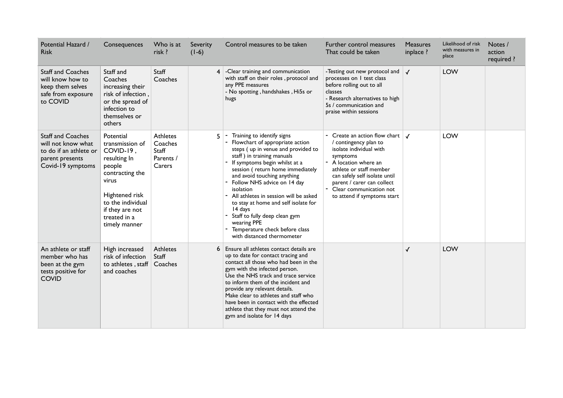| Potential Hazard /<br><b>Risk</b>                                                                                | Consequences                                                                                                                                                                               | Who is at<br>risk ?                                        | Severity<br>$(1-6)$ | Control measures to be taken                                                                                                                                                                                                                                                                                                                                                                                                                                                                    | Further control measures<br>That could be taken                                                                                                                                                                                                                                                        | <b>Measures</b><br>inplace ? | Likelihood of risk<br>with measures in<br>place | Notes /<br>action<br>required ? |
|------------------------------------------------------------------------------------------------------------------|--------------------------------------------------------------------------------------------------------------------------------------------------------------------------------------------|------------------------------------------------------------|---------------------|-------------------------------------------------------------------------------------------------------------------------------------------------------------------------------------------------------------------------------------------------------------------------------------------------------------------------------------------------------------------------------------------------------------------------------------------------------------------------------------------------|--------------------------------------------------------------------------------------------------------------------------------------------------------------------------------------------------------------------------------------------------------------------------------------------------------|------------------------------|-------------------------------------------------|---------------------------------|
| <b>Staff and Coaches</b><br>will know how to<br>keep them selves<br>safe from exposure<br>to COVID               | Staff and<br>Coaches<br>increasing their<br>risk of infection,<br>or the spread of<br>infection to<br>themselves or<br>others                                                              | Staff<br>Coaches                                           | 4                   | -Clear training and communication<br>with staff on their roles, protocol and<br>any PPE measures<br>- No spotting, handshakes, Hi5s or<br>hugs                                                                                                                                                                                                                                                                                                                                                  | -Testing out new protocol and<br>processes on I test class<br>before rolling out to all<br>classes<br>- Research alternatives to high<br>5s / communication and<br>praise within sessions                                                                                                              | $\checkmark$                 | LOW                                             |                                 |
| <b>Staff and Coaches</b><br>will not know what<br>to do if an athlete or<br>parent presents<br>Covid-19 symptoms | Potential<br>transmission of<br>COVID-19,<br>resulting In<br>people<br>contracting the<br>virus<br>Hightened risk<br>to the individual<br>if they are not<br>treated in a<br>timely manner | <b>Athletes</b><br>Coaches<br>Staff<br>Parents /<br>Carers |                     | Training to identify signs<br>Flowchart of appropriate action<br>steps (up in venue and provided to<br>staff) in training manuals<br>If symptoms begin whilst at a<br>session (return home immediately<br>and avoid touching anything<br>Follow NHS advice on 14 day<br>isolation<br>- All athletes in session will be asked<br>to stay at home and self isolate for<br>14 days<br>Staff to fully deep clean gym<br>wearing PPE<br>Temperature check before class<br>with distanced thermometer | - Create an action flow chart $\vert \mathcal{J} \vert$<br>/ contingency plan to<br>isolate individual with<br>symptoms<br>- A location where an<br>athlete or staff member<br>can safely self isolate until<br>parent / carer can collect<br>- Clear communication not<br>to attend if symptoms start |                              | <b>LOW</b>                                      |                                 |
| An athlete or staff<br>member who has<br>been at the gym<br>tests positive for<br><b>COVID</b>                   | High increased<br>risk of infection<br>to athletes, staff<br>and coaches                                                                                                                   | <b>Athletes</b><br>Staff<br>Coaches                        | 6                   | Ensure all athletes contact details are<br>up to date for contact tracing and<br>contact all those who had been in the<br>gym with the infected person.<br>Use the NHS track and trace service<br>to inform them of the incident and<br>provide any relevant details.<br>Make clear to athletes and staff who<br>have been in contact with the effected<br>athlete that they must not attend the<br>gym and isolate for 14 days                                                                 |                                                                                                                                                                                                                                                                                                        | ✓                            | <b>LOW</b>                                      |                                 |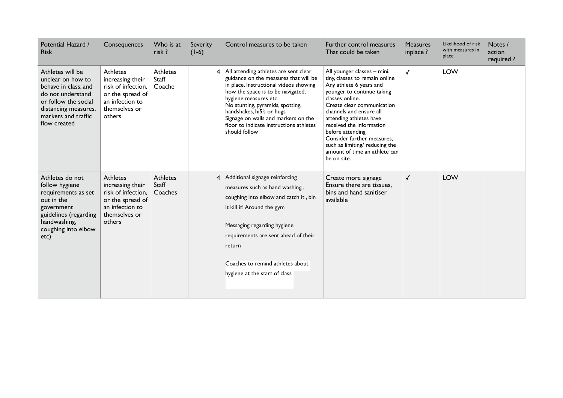| Potential Hazard /<br><b>Risk</b>                                                                                                                                         | Consequences                                                                                                                | Who is at<br>risk ?                | Severity<br>$(1-6)$ | Control measures to be taken                                                                                                                                                                                                                                                                                                                                | Further control measures<br>That could be taken                                                                                                                                                                                                                                                                                                                                               | <b>Measures</b><br>inplace ? | Likelihood of risk<br>with measures in<br>place | Notes /<br>action<br>required ? |
|---------------------------------------------------------------------------------------------------------------------------------------------------------------------------|-----------------------------------------------------------------------------------------------------------------------------|------------------------------------|---------------------|-------------------------------------------------------------------------------------------------------------------------------------------------------------------------------------------------------------------------------------------------------------------------------------------------------------------------------------------------------------|-----------------------------------------------------------------------------------------------------------------------------------------------------------------------------------------------------------------------------------------------------------------------------------------------------------------------------------------------------------------------------------------------|------------------------------|-------------------------------------------------|---------------------------------|
| Athletes will be<br>unclear on how to<br>behave in class, and<br>do not understand<br>or follow the social<br>distancing measures,<br>markers and traffic<br>flow created | <b>Athletes</b><br>increasing their<br>risk of infection.<br>or the spread of<br>an infection to<br>themselves or<br>others | <b>Athletes</b><br>Staff<br>Coache |                     | 4 All attending athletes are sent clear<br>guidance on the measures that will be<br>in place. Instructional videos showing<br>how the space is to be navigated,<br>hygiene measures etc<br>No stunting, pyramids, spotting,<br>handshakes, hi5's or hugs<br>Signage on walls and markers on the<br>floor to indicate instructions athletes<br>should follow | All younger classes - mini,<br>tiny, classes to remain online<br>Any athlete 6 years and<br>younger to continue taking<br>classes online.<br>Create clear communication<br>channels and ensure all<br>attending athletes have<br>received the information<br>before attending<br>Consider further measures,<br>such as limiting/ reducing the<br>amount of time an athlete can<br>be on site. | $\checkmark$                 | <b>LOW</b>                                      |                                 |
| Athletes do not<br>follow hygiene<br>requirements as set<br>out in the<br>government<br>guidelines (regarding<br>handwashing,<br>coughing into elbow<br>etc)              | <b>Athletes</b><br>increasing their<br>risk of infection,<br>or the spread of<br>an infection to<br>themselves or<br>others | Athletes<br>Staff<br>Coaches       |                     | 4 Additional signage reinforcing<br>measures such as hand washing,<br>coughing into elbow and catch it, bin<br>it kill it! Around the gym<br>Messaging regarding hygiene<br>requirements are sent ahead of their<br>return<br>Coaches to remind athletes about<br>hygiene at the start of class                                                             | Create more signage<br>Ensure there are tissues,<br>bins and hand sanitiser<br>available                                                                                                                                                                                                                                                                                                      | $\checkmark$                 | <b>LOW</b>                                      |                                 |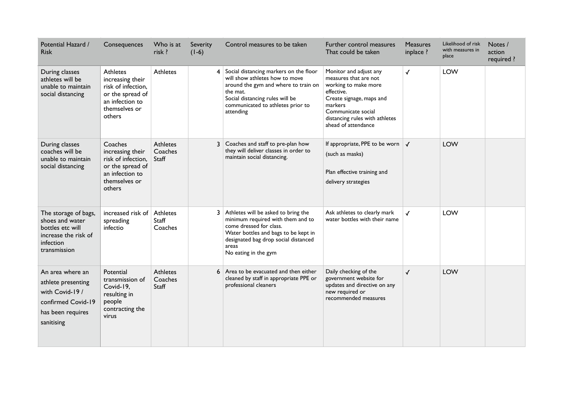| Potential Hazard /<br><b>Risk</b>                                                                                  | Consequences                                                                                                                | Who is at<br>risk ?                 | Severity<br>$(1-6)$ | Control measures to be taken                                                                                                                                                                                         | Further control measures<br>That could be taken                                                                                                                                                             | <b>Measures</b><br>inplace ? | Likelihood of risk<br>with measures in<br>place | Notes /<br>action<br>required ? |
|--------------------------------------------------------------------------------------------------------------------|-----------------------------------------------------------------------------------------------------------------------------|-------------------------------------|---------------------|----------------------------------------------------------------------------------------------------------------------------------------------------------------------------------------------------------------------|-------------------------------------------------------------------------------------------------------------------------------------------------------------------------------------------------------------|------------------------------|-------------------------------------------------|---------------------------------|
| During classes<br>athletes will be<br>unable to maintain<br>social distancing                                      | <b>Athletes</b><br>increasing their<br>risk of infection,<br>or the spread of<br>an infection to<br>themselves or<br>others | <b>Athletes</b>                     |                     | Social distancing markers on the floor<br>will show athletes how to move<br>around the gym and where to train on<br>the mat.<br>Social distancing rules will be<br>communicated to athletes prior to<br>attending    | Monitor and adjust any<br>measures that are not<br>working to make more<br>effective.<br>Create signage, maps and<br>markers<br>Communicate social<br>distancing rules with athletes<br>ahead of attendance | $\checkmark$                 | <b>LOW</b>                                      |                                 |
| During classes<br>coaches will be<br>unable to maintain<br>social distancing                                       | Coaches<br>increasing their<br>risk of infection,<br>or the spread of<br>an infection to<br>themselves or<br>others         | <b>Athletes</b><br>Coaches<br>Staff |                     | Coaches and staff to pre-plan how<br>they will deliver classes in order to<br>maintain social distancing.                                                                                                            | If appropriate, PPE to be worn $\vert \mathcal{J} \vert$<br>(such as masks)<br>Plan effective training and<br>delivery strategies                                                                           |                              | <b>LOW</b>                                      |                                 |
| The storage of bags,<br>shoes and water<br>bottles etc will<br>increase the risk of<br>infection<br>transmission   | increased risk of<br>spreading<br>infectio                                                                                  | Athletes<br>Staff<br>Coaches        |                     | Athletes will be asked to bring the<br>minimum required with them and to<br>come dressed for class.<br>Water bottles and bags to be kept in<br>designated bag drop social distanced<br>areas<br>No eating in the gym | Ask athletes to clearly mark<br>water bottles with their name                                                                                                                                               | $\checkmark$                 | <b>LOW</b>                                      |                                 |
| An area where an<br>athlete presenting<br>with Covid-19 /<br>confirmed Covid-19<br>has been requires<br>sanitising | Potential<br>transmission of<br>Covid-19,<br>resulting in<br>people<br>contracting the<br>virus                             | <b>Athletes</b><br>Coaches<br>Staff | 6                   | Area to be evacuated and then either<br>cleaned by staff in appropriate PPE or<br>professional cleaners                                                                                                              | Daily checking of the<br>government website for<br>updates and directive on any<br>new required or<br>recommended measures                                                                                  | $\checkmark$                 | <b>LOW</b>                                      |                                 |